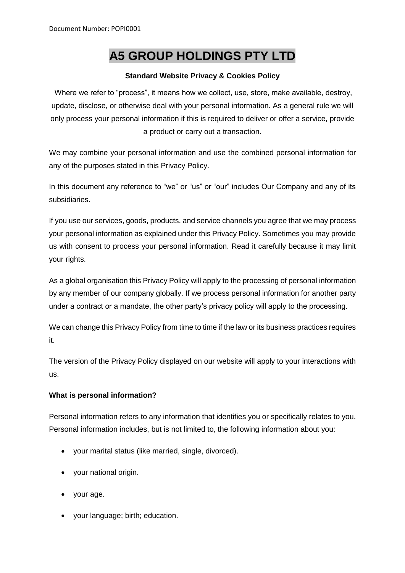# **A5 GROUP HOLDINGS PTY LTD**

## **Standard Website Privacy & Cookies Policy**

Where we refer to "process", it means how we collect, use, store, make available, destroy, update, disclose, or otherwise deal with your personal information. As a general rule we will only process your personal information if this is required to deliver or offer a service, provide a product or carry out a transaction.

We may combine your personal information and use the combined personal information for any of the purposes stated in this Privacy Policy.

In this document any reference to "we" or "us" or "our" includes Our Company and any of its subsidiaries.

If you use our services, goods, products, and service channels you agree that we may process your personal information as explained under this Privacy Policy. Sometimes you may provide us with consent to process your personal information. Read it carefully because it may limit your rights.

As a global organisation this Privacy Policy will apply to the processing of personal information by any member of our company globally. If we process personal information for another party under a contract or a mandate, the other party's privacy policy will apply to the processing.

We can change this Privacy Policy from time to time if the law or its business practices requires it.

The version of the Privacy Policy displayed on our website will apply to your interactions with us.

## **What is personal information?**

Personal information refers to any information that identifies you or specifically relates to you. Personal information includes, but is not limited to, the following information about you:

- your marital status (like married, single, divorced).
- your national origin.
- your age.
- your language; birth; education.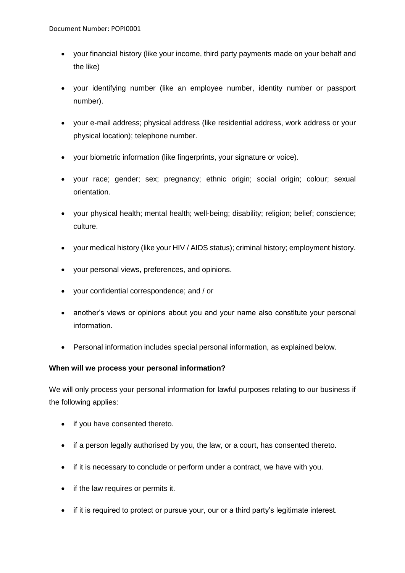- your financial history (like your income, third party payments made on your behalf and the like)
- your identifying number (like an employee number, identity number or passport number).
- your e-mail address; physical address (like residential address, work address or your physical location); telephone number.
- your biometric information (like fingerprints, your signature or voice).
- your race; gender; sex; pregnancy; ethnic origin; social origin; colour; sexual orientation.
- your physical health; mental health; well-being; disability; religion; belief; conscience; culture.
- your medical history (like your HIV / AIDS status); criminal history; employment history.
- your personal views, preferences, and opinions.
- your confidential correspondence; and / or
- another's views or opinions about you and your name also constitute your personal information.
- Personal information includes special personal information, as explained below.

## **When will we process your personal information?**

We will only process your personal information for lawful purposes relating to our business if the following applies:

- if you have consented thereto.
- if a person legally authorised by you, the law, or a court, has consented thereto.
- if it is necessary to conclude or perform under a contract, we have with you.
- if the law requires or permits it.
- if it is required to protect or pursue your, our or a third party's legitimate interest.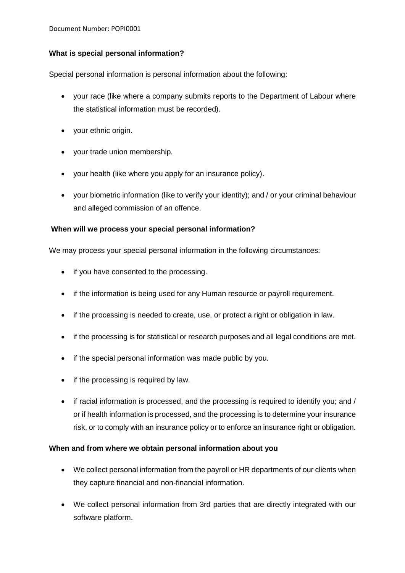# **What is special personal information?**

Special personal information is personal information about the following:

- your race (like where a company submits reports to the Department of Labour where the statistical information must be recorded).
- your ethnic origin.
- your trade union membership.
- your health (like where you apply for an insurance policy).
- your biometric information (like to verify your identity); and / or your criminal behaviour and alleged commission of an offence.

## **When will we process your special personal information?**

We may process your special personal information in the following circumstances:

- if you have consented to the processing.
- if the information is being used for any Human resource or payroll requirement.
- if the processing is needed to create, use, or protect a right or obligation in law.
- if the processing is for statistical or research purposes and all legal conditions are met.
- if the special personal information was made public by you.
- if the processing is required by law.
- if racial information is processed, and the processing is required to identify you; and / or if health information is processed, and the processing is to determine your insurance risk, or to comply with an insurance policy or to enforce an insurance right or obligation.

## **When and from where we obtain personal information about you**

- We collect personal information from the payroll or HR departments of our clients when they capture financial and non-financial information.
- We collect personal information from 3rd parties that are directly integrated with our software platform.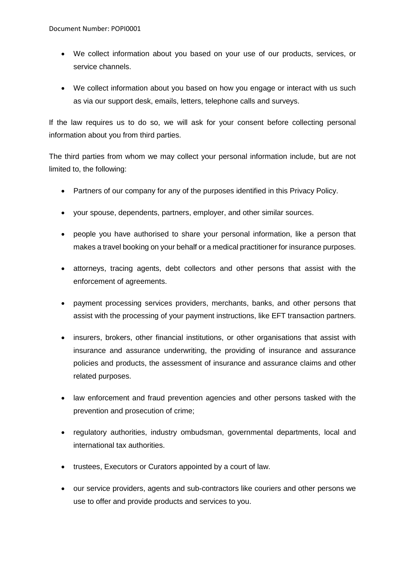- We collect information about you based on your use of our products, services, or service channels.
- We collect information about you based on how you engage or interact with us such as via our support desk, emails, letters, telephone calls and surveys.

If the law requires us to do so, we will ask for your consent before collecting personal information about you from third parties.

The third parties from whom we may collect your personal information include, but are not limited to, the following:

- Partners of our company for any of the purposes identified in this Privacy Policy.
- your spouse, dependents, partners, employer, and other similar sources.
- people you have authorised to share your personal information, like a person that makes a travel booking on your behalf or a medical practitioner for insurance purposes.
- attorneys, tracing agents, debt collectors and other persons that assist with the enforcement of agreements.
- payment processing services providers, merchants, banks, and other persons that assist with the processing of your payment instructions, like EFT transaction partners.
- insurers, brokers, other financial institutions, or other organisations that assist with insurance and assurance underwriting, the providing of insurance and assurance policies and products, the assessment of insurance and assurance claims and other related purposes.
- law enforcement and fraud prevention agencies and other persons tasked with the prevention and prosecution of crime;
- regulatory authorities, industry ombudsman, governmental departments, local and international tax authorities.
- trustees, Executors or Curators appointed by a court of law.
- our service providers, agents and sub-contractors like couriers and other persons we use to offer and provide products and services to you.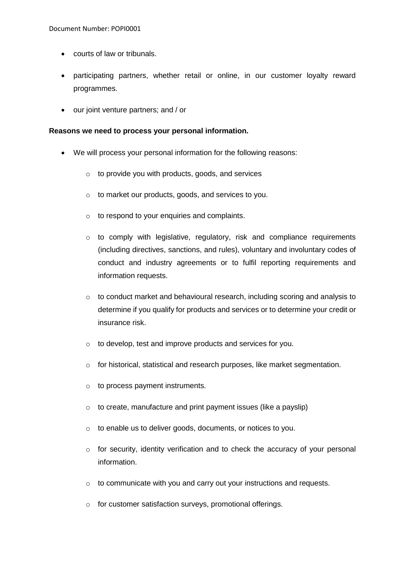- courts of law or tribunals.
- participating partners, whether retail or online, in our customer loyalty reward programmes.
- our joint venture partners; and / or

#### **Reasons we need to process your personal information.**

- We will process your personal information for the following reasons:
	- $\circ$  to provide you with products, goods, and services
	- o to market our products, goods, and services to you.
	- o to respond to your enquiries and complaints.
	- o to comply with legislative, regulatory, risk and compliance requirements (including directives, sanctions, and rules), voluntary and involuntary codes of conduct and industry agreements or to fulfil reporting requirements and information requests.
	- $\circ$  to conduct market and behavioural research, including scoring and analysis to determine if you qualify for products and services or to determine your credit or insurance risk.
	- o to develop, test and improve products and services for you.
	- o for historical, statistical and research purposes, like market segmentation.
	- $\circ$  to process payment instruments.
	- $\circ$  to create, manufacture and print payment issues (like a payslip)
	- o to enable us to deliver goods, documents, or notices to you.
	- $\circ$  for security, identity verification and to check the accuracy of your personal information.
	- o to communicate with you and carry out your instructions and requests.
	- o for customer satisfaction surveys, promotional offerings.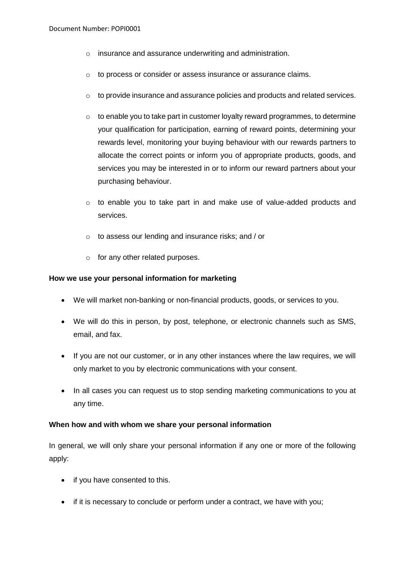- o insurance and assurance underwriting and administration.
- o to process or consider or assess insurance or assurance claims.
- o to provide insurance and assurance policies and products and related services.
- $\circ$  to enable you to take part in customer loyalty reward programmes, to determine your qualification for participation, earning of reward points, determining your rewards level, monitoring your buying behaviour with our rewards partners to allocate the correct points or inform you of appropriate products, goods, and services you may be interested in or to inform our reward partners about your purchasing behaviour.
- o to enable you to take part in and make use of value-added products and services.
- o to assess our lending and insurance risks; and / or
- o for any other related purposes.

#### **How we use your personal information for marketing**

- We will market non-banking or non-financial products, goods, or services to you.
- We will do this in person, by post, telephone, or electronic channels such as SMS, email, and fax.
- If you are not our customer, or in any other instances where the law requires, we will only market to you by electronic communications with your consent.
- In all cases you can request us to stop sending marketing communications to you at any time.

#### **When how and with whom we share your personal information**

In general, we will only share your personal information if any one or more of the following apply:

- if you have consented to this.
- if it is necessary to conclude or perform under a contract, we have with you;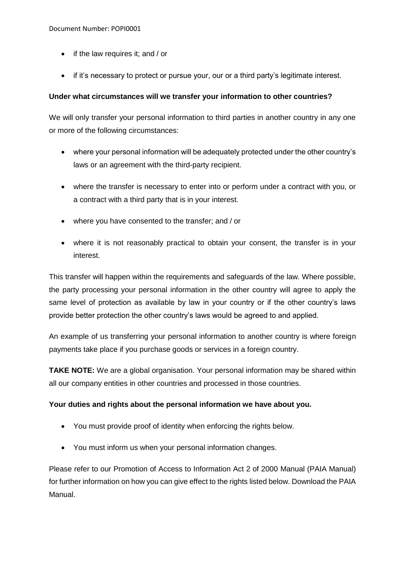- if the law requires it; and / or
- if it's necessary to protect or pursue your, our or a third party's legitimate interest.

## **Under what circumstances will we transfer your information to other countries?**

We will only transfer your personal information to third parties in another country in any one or more of the following circumstances:

- where your personal information will be adequately protected under the other country's laws or an agreement with the third-party recipient.
- where the transfer is necessary to enter into or perform under a contract with you, or a contract with a third party that is in your interest.
- where you have consented to the transfer; and / or
- where it is not reasonably practical to obtain your consent, the transfer is in your interest.

This transfer will happen within the requirements and safeguards of the law. Where possible, the party processing your personal information in the other country will agree to apply the same level of protection as available by law in your country or if the other country's laws provide better protection the other country's laws would be agreed to and applied.

An example of us transferring your personal information to another country is where foreign payments take place if you purchase goods or services in a foreign country.

**TAKE NOTE:** We are a global organisation. Your personal information may be shared within all our company entities in other countries and processed in those countries.

## **Your duties and rights about the personal information we have about you.**

- You must provide proof of identity when enforcing the rights below.
- You must inform us when your personal information changes.

Please refer to our Promotion of Access to Information Act 2 of 2000 Manual (PAIA Manual) for further information on how you can give effect to the rights listed below. Download the PAIA Manual.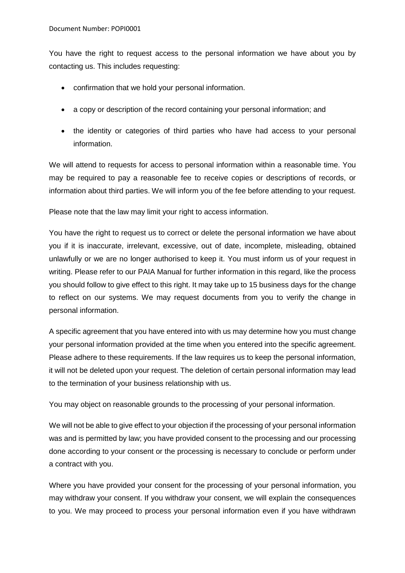You have the right to request access to the personal information we have about you by contacting us. This includes requesting:

- confirmation that we hold your personal information.
- a copy or description of the record containing your personal information; and
- the identity or categories of third parties who have had access to your personal information.

We will attend to requests for access to personal information within a reasonable time. You may be required to pay a reasonable fee to receive copies or descriptions of records, or information about third parties. We will inform you of the fee before attending to your request.

Please note that the law may limit your right to access information.

You have the right to request us to correct or delete the personal information we have about you if it is inaccurate, irrelevant, excessive, out of date, incomplete, misleading, obtained unlawfully or we are no longer authorised to keep it. You must inform us of your request in writing. Please refer to our PAIA Manual for further information in this regard, like the process you should follow to give effect to this right. It may take up to 15 business days for the change to reflect on our systems. We may request documents from you to verify the change in personal information.

A specific agreement that you have entered into with us may determine how you must change your personal information provided at the time when you entered into the specific agreement. Please adhere to these requirements. If the law requires us to keep the personal information, it will not be deleted upon your request. The deletion of certain personal information may lead to the termination of your business relationship with us.

You may object on reasonable grounds to the processing of your personal information.

We will not be able to give effect to your objection if the processing of your personal information was and is permitted by law; you have provided consent to the processing and our processing done according to your consent or the processing is necessary to conclude or perform under a contract with you.

Where you have provided your consent for the processing of your personal information, you may withdraw your consent. If you withdraw your consent, we will explain the consequences to you. We may proceed to process your personal information even if you have withdrawn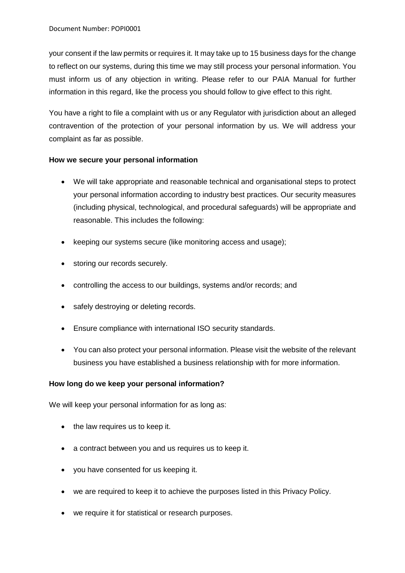your consent if the law permits or requires it. It may take up to 15 business days for the change to reflect on our systems, during this time we may still process your personal information. You must inform us of any objection in writing. Please refer to our PAIA Manual for further information in this regard, like the process you should follow to give effect to this right.

You have a right to file a complaint with us or any Regulator with jurisdiction about an alleged contravention of the protection of your personal information by us. We will address your complaint as far as possible.

### **How we secure your personal information**

- We will take appropriate and reasonable technical and organisational steps to protect your personal information according to industry best practices. Our security measures (including physical, technological, and procedural safeguards) will be appropriate and reasonable. This includes the following:
- keeping our systems secure (like monitoring access and usage);
- storing our records securely.
- controlling the access to our buildings, systems and/or records; and
- safely destroying or deleting records.
- Ensure compliance with international ISO security standards.
- You can also protect your personal information. Please visit the website of the relevant business you have established a business relationship with for more information.

## **How long do we keep your personal information?**

We will keep your personal information for as long as:

- the law requires us to keep it.
- a contract between you and us requires us to keep it.
- you have consented for us keeping it.
- we are required to keep it to achieve the purposes listed in this Privacy Policy.
- we require it for statistical or research purposes.